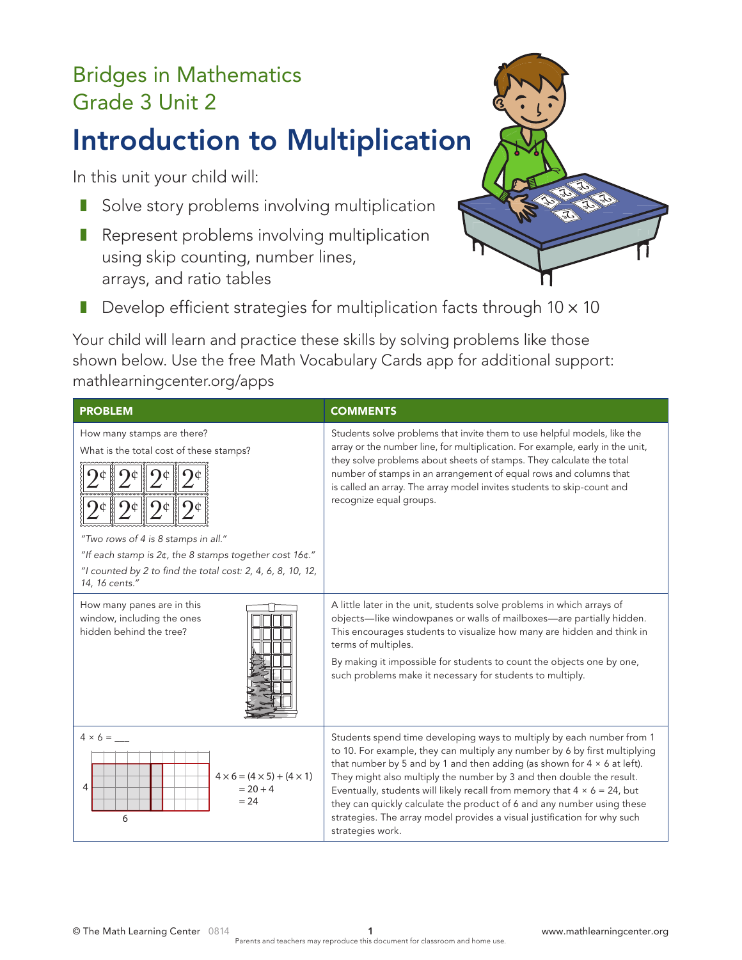## Bridges in Mathematics Grade 3 Unit 2

# Introduction to Multiplication

In this unit your child will:

- Solve story problems involving multiplication
- Represent problems involving multiplication using skip counting, number lines, arrays, and ratio tables



■ Develop efficient strategies for multiplication facts through  $10 \times 10$ 

Your child will learn and practice these skills by solving problems like those shown below. Use the free Math Vocabulary Cards app for additional support: mathlearningcenter.org/apps

| <b>PROBLEM</b>                                                                                                                                                                                                                                          | <b>COMMENTS</b>                                                                                                                                                                                                                                                                                                                                                                                                                                                                                                                                                             |
|---------------------------------------------------------------------------------------------------------------------------------------------------------------------------------------------------------------------------------------------------------|-----------------------------------------------------------------------------------------------------------------------------------------------------------------------------------------------------------------------------------------------------------------------------------------------------------------------------------------------------------------------------------------------------------------------------------------------------------------------------------------------------------------------------------------------------------------------------|
| How many stamps are there?<br>What is the total cost of these stamps?<br>"Two rows of 4 is 8 stamps in all."<br>"If each stamp is 2¢, the 8 stamps together cost 16¢."<br>"I counted by 2 to find the total cost: 2, 4, 6, 8, 10, 12,<br>14, 16 cents." | Students solve problems that invite them to use helpful models, like the<br>array or the number line, for multiplication. For example, early in the unit,<br>they solve problems about sheets of stamps. They calculate the total<br>number of stamps in an arrangement of equal rows and columns that<br>is called an array. The array model invites students to skip-count and<br>recognize equal groups.                                                                                                                                                                 |
| How many panes are in this<br>window, including the ones<br>hidden behind the tree?                                                                                                                                                                     | A little later in the unit, students solve problems in which arrays of<br>objects-like windowpanes or walls of mailboxes-are partially hidden.<br>This encourages students to visualize how many are hidden and think in<br>terms of multiples.<br>By making it impossible for students to count the objects one by one,<br>such problems make it necessary for students to multiply.                                                                                                                                                                                       |
| $4 \times 6 =$<br>$4 \times 6 = (4 \times 5) + (4 \times 1)$<br>4<br>$= 20 + 4$<br>$= 24$<br>6                                                                                                                                                          | Students spend time developing ways to multiply by each number from 1<br>to 10. For example, they can multiply any number by 6 by first multiplying<br>that number by 5 and by 1 and then adding (as shown for $4 \times 6$ at left).<br>They might also multiply the number by 3 and then double the result.<br>Eventually, students will likely recall from memory that $4 \times 6 = 24$ , but<br>they can quickly calculate the product of 6 and any number using these<br>strategies. The array model provides a visual justification for why such<br>strategies work. |